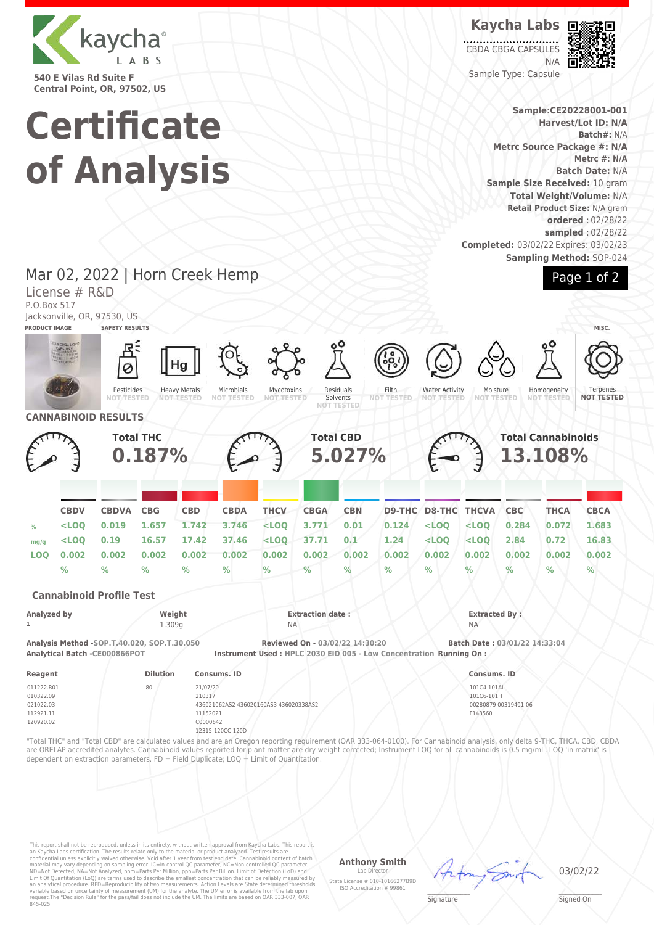

**540 E Vilas Rd Suite F Central Point, OR, 97502, US**

License # R&D

# **Certificate of Analysis**

Mar 02, 2022 | Horn Creek Hemp

**Kaycha Labs**

CBDA CBGA CAPSULES N/A Sample Type: Capsule



**Sample:CE20228001-001 Harvest/Lot ID: N/A Batch#:** N/A **Metrc Source Package #: N/A Metrc #: N/A Batch Date:** N/A **Sample Size Received:** 10 gram **Total Weight/Volume:** N/A **Retail Product Size:** N/A gram **ordered** : 02/28/22 **sampled** : 02/28/22

**Completed:** 03/02/22 Expires: 03/02/23 **Sampling Method:** SOP-024

Page 1 of 2

#### P.O.Box 517 Jacksonville, OR, 97530, US **PRODUCT IMAGE SAFETY RESULTS MISC.** Pesticides **NOT TESTED** Heavy Metals **NOT TESTED** Microbials **NOT TESTED** Mycotoxins **NOT TESTED** Residuals Solvents<br>NOT TEST **NOT TESTED** Filth **NOT TESTED** Water Activity **NOT TESTED** Moisture<br>NOT TEST **NOT TESTED** Homogeneity **NOT TESTED** Terpene **NOT TESTED CANNABINOID RESULTS Total THC 0.187% Total CBD 5.027% Total Cannabinoids 13.108% CBDV CBDVA CBG CBD CBDA THCV CBGA CBN D9-THC D8-THC THCVA CBC THCA CBCA % <LOQ 0.019 1.657 1.742 3.746 <LOQ 3.771 0.01 0.124 <LOQ <LOQ 0.284 0.072 1.683 mg/g <LOQ 0.19 16.57 17.42 37.46 <LOQ 37.71 0.1 1.24 <LOQ <LOQ 2.84 0.72 16.83 LOQ 0.002 0.002 0.002 0.002 0.002 0.002 0.002 0.002 0.002 0.002 0.002 0.002 0.002 0.002 % % % % % % % % % % % % % % Cannabinoid Profile Test Analyzed by Weight Extraction date : Extracted By : 1** 1.309g NA NA **Analysis Method -SOP.T.40.020, SOP.T.30.050 Reviewed On - 03/02/22 14:30:20 Batch Date : 03/01/22 14:33:04 Analytical Batch -CE000866POT Instrument Used : HPLC 2030 EID 005 - Low Concentration Running On : Reagent Dilution Consums. ID Consums. ID** 011222.R01 010322.09 021022.03 112921.11 120920.02 80 21/07/20 210317 436021062AS2 436020160AS3 436020338AS2 11152021 C0000642 12315-120CC-120D 101C4-101AL 101C6-101H 00280879 00319401-06 F148560 "Total THC" and "Total CBD" are calculated values and are an Oregon reporting requirement (OAR 333-064-0100). For Cannabinoid analysis, only delta 9-THC, THCA, CBD, CBDA are ORELAP accredited analytes. Cannabinoid values reported for plant matter are dry weight corrected; Instrument LOQ for all cannabinoids is 0.5 mg/mL, LOQ 'in matrix' is dependent on extraction parameters. FD = Field Duplicate; LOQ = Limit of Quantitation.

This report shall not be reproduced, unless in its entirety, without written approval from Kaycha Labs. This report is<br>an Kaycha Labs certification. The results relate only to the material or product analyzed. Test result

## **Anthony Smith**

Lab Director State License # 010-10166277B9D ISO Accreditation # 99861

 $\mathscr{L}\setminus\mathscr{L}$ **Signature** 

03/02/22

Signed On